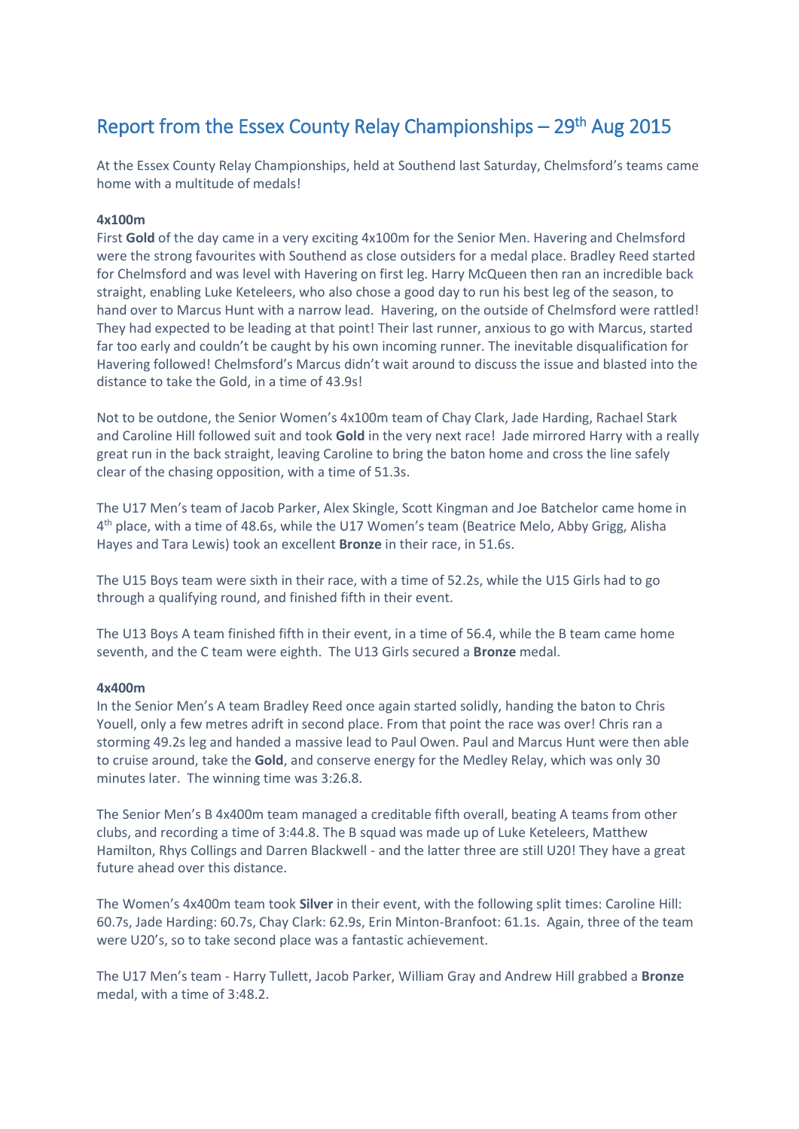# Report from the Essex County Relay Championships – 29<sup>th</sup> Aug 2015

At the Essex County Relay Championships, held at Southend last Saturday, Chelmsford's teams came home with a multitude of medals!

# **4x100m**

First **Gold** of the day came in a very exciting 4x100m for the Senior Men. Havering and Chelmsford were the strong favourites with Southend as close outsiders for a medal place. Bradley Reed started for Chelmsford and was level with Havering on first leg. Harry McQueen then ran an incredible back straight, enabling Luke Keteleers, who also chose a good day to run his best leg of the season, to hand over to Marcus Hunt with a narrow lead. Havering, on the outside of Chelmsford were rattled! They had expected to be leading at that point! Their last runner, anxious to go with Marcus, started far too early and couldn't be caught by his own incoming runner. The inevitable disqualification for Havering followed! Chelmsford's Marcus didn't wait around to discuss the issue and blasted into the distance to take the Gold, in a time of 43.9s!

Not to be outdone, the Senior Women's 4x100m team of Chay Clark, Jade Harding, Rachael Stark and Caroline Hill followed suit and took **Gold** in the very next race! Jade mirrored Harry with a really great run in the back straight, leaving Caroline to bring the baton home and cross the line safely clear of the chasing opposition, with a time of 51.3s.

The U17 Men's team of Jacob Parker, Alex Skingle, Scott Kingman and Joe Batchelor came home in 4<sup>th</sup> place, with a time of 48.6s, while the U17 Women's team (Beatrice Melo, Abby Grigg, Alisha Hayes and Tara Lewis) took an excellent **Bronze** in their race, in 51.6s.

The U15 Boys team were sixth in their race, with a time of 52.2s, while the U15 Girls had to go through a qualifying round, and finished fifth in their event.

The U13 Boys A team finished fifth in their event, in a time of 56.4, while the B team came home seventh, and the C team were eighth. The U13 Girls secured a **Bronze** medal.

#### **4x400m**

In the Senior Men's A team Bradley Reed once again started solidly, handing the baton to Chris Youell, only a few metres adrift in second place. From that point the race was over! Chris ran a storming 49.2s leg and handed a massive lead to Paul Owen. Paul and Marcus Hunt were then able to cruise around, take the **Gold**, and conserve energy for the Medley Relay, which was only 30 minutes later. The winning time was 3:26.8.

The Senior Men's B 4x400m team managed a creditable fifth overall, beating A teams from other clubs, and recording a time of 3:44.8. The B squad was made up of Luke Keteleers, Matthew Hamilton, Rhys Collings and Darren Blackwell - and the latter three are still U20! They have a great future ahead over this distance.

The Women's 4x400m team took **Silver** in their event, with the following split times: Caroline Hill: 60.7s, Jade Harding: 60.7s, Chay Clark: 62.9s, Erin Minton-Branfoot: 61.1s. Again, three of the team were U20's, so to take second place was a fantastic achievement.

The U17 Men's team - Harry Tullett, Jacob Parker, William Gray and Andrew Hill grabbed a **Bronze** medal, with a time of 3:48.2.